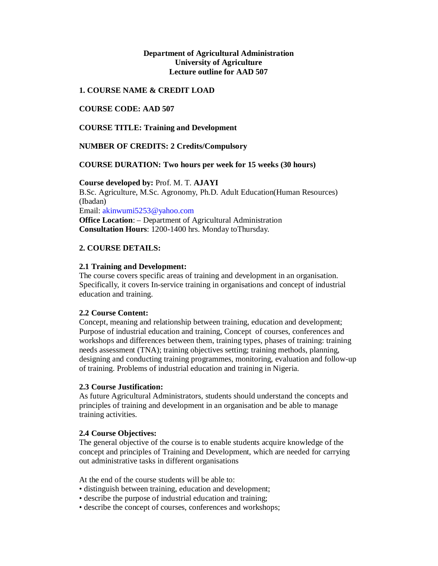## **Department of Agricultural Administration University of Agriculture Lecture outline for AAD 507**

## **1. COURSE NAME & CREDIT LOAD**

## **COURSE CODE: AAD 507**

**COURSE TITLE: Training and Development**

## **NUMBER OF CREDITS: 2 Credits/Compulsory**

## **COURSE DURATION: Two hours per week for 15 weeks (30 hours)**

**Course developed by:** Prof. M. T. **AJAYI** B.Sc. Agriculture, M.Sc. Agronomy, Ph.D. Adult Education(Human Resources) (Ibadan) Email: akinwumi5253@yahoo.com **Office Location**: – Department of Agricultural Administration **Consultation Hours**: 1200-1400 hrs. Monday toThursday.

## **2. COURSE DETAILS:**

## **2.1 Training and Development:**

The course covers specific areas of training and development in an organisation. Specifically, it covers In-service training in organisations and concept of industrial education and training.

## **2.2 Course Content:**

Concept, meaning and relationship between training, education and development; Purpose of industrial education and training, Concept of courses, conferences and workshops and differences between them, training types, phases of training: training needs assessment (TNA); training objectives setting; training methods, planning, designing and conducting training programmes, monitoring, evaluation and follow-up of training. Problems of industrial education and training in Nigeria.

## **2.3 Course Justification:**

As future Agricultural Administrators, students should understand the concepts and principles of training and development in an organisation and be able to manage training activities.

## **2.4 Course Objectives:**

The general objective of the course is to enable students acquire knowledge of the concept and principles of Training and Development, which are needed for carrying out administrative tasks in different organisations

At the end of the course students will be able to:

- distinguish between training, education and development;
- describe the purpose of industrial education and training;
- describe the concept of courses, conferences and workshops;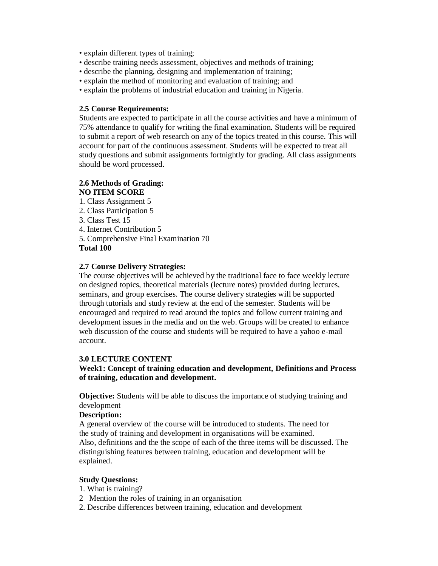- explain different types of training;
- describe training needs assessment, objectives and methods of training;
- describe the planning, designing and implementation of training;
- explain the method of monitoring and evaluation of training; and
- explain the problems of industrial education and training in Nigeria.

#### **2.5 Course Requirements:**

Students are expected to participate in all the course activities and have a minimum of 75% attendance to qualify for writing the final examination. Students will be required to submit a report of web research on any of the topics treated in this course. This will account for part of the continuous assessment. Students will be expected to treat all study questions and submit assignments fortnightly for grading. All class assignments should be word processed.

## **2.6 Methods of Grading: NO ITEM SCORE**

- 1. Class Assignment 5
- 2. Class Participation 5
- 3. Class Test 15
- 4. Internet Contribution 5
- 5. Comprehensive Final Examination 70

## **Total 100**

## **2.7 Course Delivery Strategies:**

The course objectives will be achieved by the traditional face to face weekly lecture on designed topics, theoretical materials (lecture notes) provided during lectures, seminars, and group exercises. The course delivery strategies will be supported through tutorials and study review at the end of the semester. Students will be encouraged and required to read around the topics and follow current training and development issues in the media and on the web. Groups will be created to enhance web discussion of the course and students will be required to have a yahoo e-mail account.

## **3.0 LECTURE CONTENT**

## **Week1: Concept of training education and development, Definitions and Process of training, education and development.**

**Objective:** Students will be able to discuss the importance of studying training and development

#### **Description:**

A general overview of the course will be introduced to students. The need for the study of training and development in organisations will be examined. Also, definitions and the the scope of each of the three items will be discussed. The distinguishing features between training, education and development will be explained.

#### **Study Questions:**

- 1. What is training?
- 2 Mention the roles of training in an organisation
- 2. Describe differences between training, education and development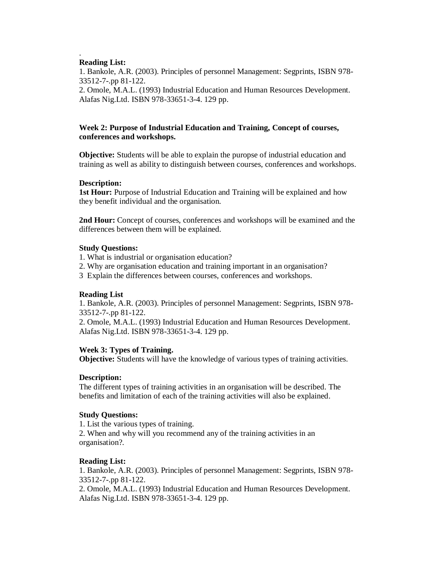#### . **Reading List:**

1. Bankole, A.R. (2003). Principles of personnel Management: Segprints, ISBN 978- 33512-7-.pp 81-122. 2. Omole, M.A.L. (1993) Industrial Education and Human Resources Development. Alafas Nig.Ltd. ISBN 978-33651-3-4. 129 pp.

## **Week 2: Purpose of Industrial Education and Training, Concept of courses, conferences and workshops.**

**Objective:** Students will be able to explain the puropse of industrial education and training as well as ability to distinguish between courses, conferences and workshops.

## **Description:**

**1st Hour:** Purpose of Industrial Education and Training will be explained and how they benefit individual and the organisation.

**2nd Hour:** Concept of courses, conferences and workshops will be examined and the differences between them will be explained.

### **Study Questions:**

- 1. What is industrial or organisation education?
- 2. Why are organisation education and training important in an organisation?
- 3 Explain the differences between courses, conferences and workshops.

## **Reading List**

1. Bankole, A.R. (2003). Principles of personnel Management: Segprints, ISBN 978- 33512-7-.pp 81-122.

2. Omole, M.A.L. (1993) Industrial Education and Human Resources Development. Alafas Nig.Ltd. ISBN 978-33651-3-4. 129 pp.

## **Week 3: Types of Training.**

**Objective:** Students will have the knowledge of various types of training activities.

## **Description:**

The different types of training activities in an organisation will be described. The benefits and limitation of each of the training activities will also be explained.

#### **Study Questions:**

1. List the various types of training.

2. When and why will you recommend any of the training activities in an organisation?.

## **Reading List:**

1. Bankole, A.R. (2003). Principles of personnel Management: Segprints, ISBN 978- 33512-7-.pp 81-122.

2. Omole, M.A.L. (1993) Industrial Education and Human Resources Development. Alafas Nig.Ltd. ISBN 978-33651-3-4. 129 pp.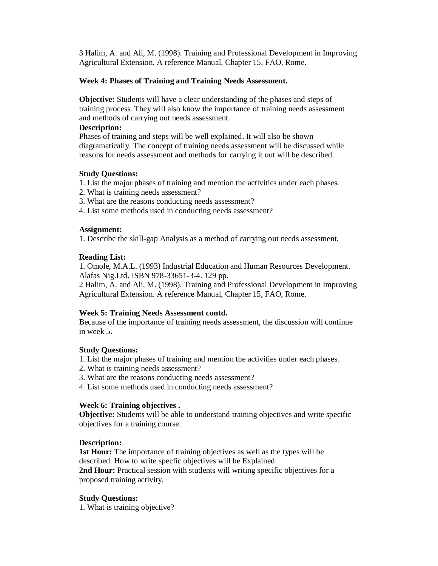3 Halim, A. and Ali, M. (1998). Training and Professional Development in Improving Agricultural Extension. A reference Manual, Chapter 15, FAO, Rome.

## **Week 4: Phases of Training and Training Needs Assessment.**

**Objective:** Students will have a clear understanding of the phases and steps of training process. They will also know the importance of training needs assessment and methods of carrying out needs assessment.

## **Description:**

Phases of training and steps will be well explained. It will also be shown diagramatically. The concept of training needs assessment will be discussed while reasons for needs assessment and methods for carrying it out will be described.

## **Study Questions:**

- 1. List the major phases of training and mention the activities under each phases.
- 2. What is training needs assessment?
- 3. What are the reasons conducting needs assessment?
- 4. List some methods used in conducting needs assessment?

### **Assignment:**

1. Describe the skill-gap Analysis as a method of carrying out needs assessment.

## **Reading List:**

1. Omole, M.A.L. (1993) Industrial Education and Human Resources Development. Alafas Nig.Ltd. ISBN 978-33651-3-4. 129 pp.

2 Halim, A. and Ali, M. (1998). Training and Professional Development in Improving Agricultural Extension. A reference Manual, Chapter 15, FAO, Rome.

#### **Week 5: Training Needs Assessment contd.**

Because of the importance of training needs assessment, the discussion will continue in week 5.

#### **Study Questions:**

- 1. List the major phases of training and mention the activities under each phases.
- 2. What is training needs assessment?
- 3. What are the reasons conducting needs assessment?
- 4. List some methods used in conducting needs assessment?

#### **Week 6: Training objectives .**

**Objective:** Students will be able to understand training objectives and write specific objectives for a training course.

#### **Description:**

**1st Hour:** The importance of training objectives as well as the types will be described. How to write specfic objectives will be Explained.

**2nd Hour:** Practical session with students will writing specific objectives for a proposed training activity.

## **Study Questions:**

1. What is training objective?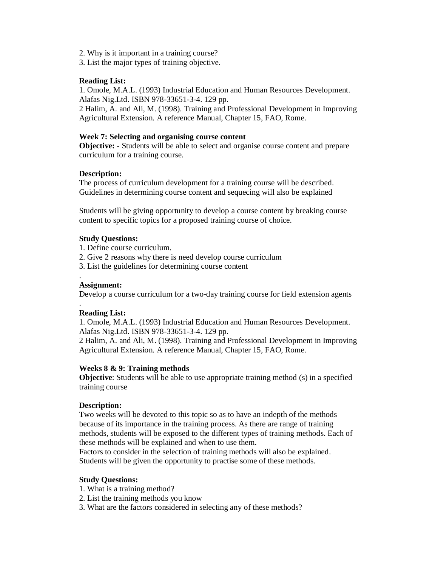- 2. Why is it important in a training course?
- 3. List the major types of training objective.

## **Reading List:**

1. Omole, M.A.L. (1993) Industrial Education and Human Resources Development. Alafas Nig.Ltd. ISBN 978-33651-3-4. 129 pp.

2 Halim, A. and Ali, M. (1998). Training and Professional Development in Improving Agricultural Extension. A reference Manual, Chapter 15, FAO, Rome.

#### **Week 7: Selecting and organising course content**

**Objective:** - Students will be able to select and organise course content and prepare curriculum for a training course.

#### **Description:**

The process of curriculum development for a training course will be described. Guidelines in determining course content and sequecing will also be explained

Students will be giving opportunity to develop a course content by breaking course content to specific topics for a proposed training course of choice.

#### **Study Questions:**

1. Define course curriculum.

- 2. Give 2 reasons why there is need develop course curriculum
- 3. List the guidelines for determining course content

#### **Assignment:**

.

.

Develop a course curriculum for a two-day training course for field extension agents

#### **Reading List:**

1. Omole, M.A.L. (1993) Industrial Education and Human Resources Development. Alafas Nig.Ltd. ISBN 978-33651-3-4. 129 pp.

2 Halim, A. and Ali, M. (1998). Training and Professional Development in Improving Agricultural Extension. A reference Manual, Chapter 15, FAO, Rome.

#### **Weeks 8 & 9: Training methods**

**Objective**: Students will be able to use appropriate training method (s) in a specified training course

#### **Description:**

Two weeks will be devoted to this topic so as to have an indepth of the methods because of its importance in the training process. As there are range of training methods, students will be exposed to the different types of training methods. Each of these methods will be explained and when to use them.

Factors to consider in the selection of training methods will also be explained. Students will be given the opportunity to practise some of these methods.

#### **Study Questions:**

- 1. What is a training method?
- 2. List the training methods you know
- 3. What are the factors considered in selecting any of these methods?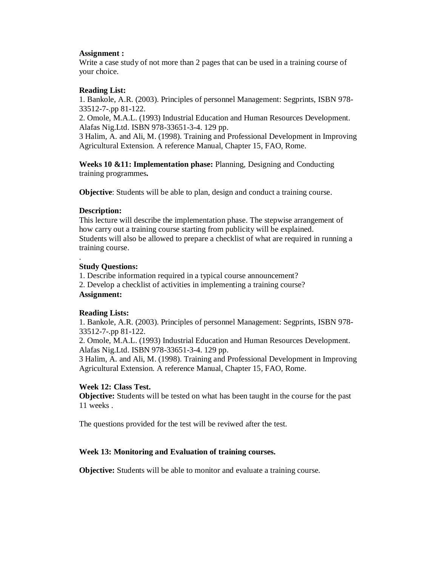## **Assignment :**

Write a case study of not more than 2 pages that can be used in a training course of your choice.

## **Reading List:**

1. Bankole, A.R. (2003). Principles of personnel Management: Segprints, ISBN 978- 33512-7-.pp 81-122.

2. Omole, M.A.L. (1993) Industrial Education and Human Resources Development. Alafas Nig.Ltd. ISBN 978-33651-3-4. 129 pp.

3 Halim, A. and Ali, M. (1998). Training and Professional Development in Improving Agricultural Extension. A reference Manual, Chapter 15, FAO, Rome.

**Weeks 10 &11: Implementation phase:** Planning, Designing and Conducting training programmes**.**

**Objective**: Students will be able to plan, design and conduct a training course.

## **Description:**

This lecture will describe the implementation phase. The stepwise arrangement of how carry out a training course starting from publicity will be explained. Students will also be allowed to prepare a checklist of what are required in running a training course.

### . **Study Questions:**

1. Describe information required in a typical course announcement? 2. Develop a checklist of activities in implementing a training course? **Assignment:**

## **Reading Lists:**

1. Bankole, A.R. (2003). Principles of personnel Management: Segprints, ISBN 978- 33512-7-.pp 81-122.

2. Omole, M.A.L. (1993) Industrial Education and Human Resources Development. Alafas Nig.Ltd. ISBN 978-33651-3-4. 129 pp.

3 Halim, A. and Ali, M. (1998). Training and Professional Development in Improving Agricultural Extension. A reference Manual, Chapter 15, FAO, Rome.

# **Week 12: Class Test.**

**Objective:** Students will be tested on what has been taught in the course for the past 11 weeks .

The questions provided for the test will be reviwed after the test.

# **Week 13: Monitoring and Evaluation of training courses.**

**Objective:** Students will be able to monitor and evaluate a training course.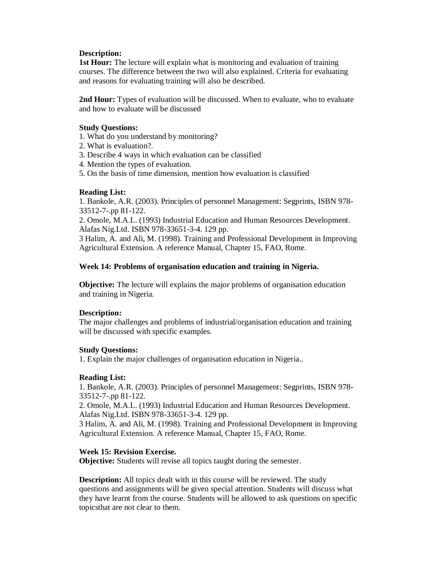## **Description:**

**1st Hour:** The lecture will explain what is monitoring and evaluation of training courses. The difference between the two will also explained. Criteria for evaluating and reasons for evaluating training will also be described.

**2nd Hour:** Types of evaluation will be discussed. When to evaluate, who to evaluate and how to evaluate will be discussed

### **Study Questions:**

- 1. What do you understand by monitoring?
- 2. What is evaluation?.
- 3. Describe 4 ways in which evaluation can be classified
- 4. Mention the types of evaluation.
- 5. On the basis of time dimension, mention how evaluation is classified

### **Reading List:**

1. Bankole, A.R. (2003). Principles of personnel Management: Segprints, ISBN 978- 33512-7-.pp 81-122.

2. Omole, M.A.L. (1993) Industrial Education and Human Resources Development. Alafas Nig.Ltd. ISBN 978-33651-3-4. 129 pp.

3 Halim, A. and Ali, M. (1998). Training and Professional Development in Improving Agricultural Extension. A reference Manual, Chapter 15, FAO, Rome.

### **Week 14: Problems of organisation education and training in Nigeria.**

**Objective:** The lecture will explains the major problems of organisation education and training in Nigeria.

## **Description:**

The major challenges and problems of industrial/organisation education and training will be discussed with specific examples.

#### **Study Questions:**

1. Explain the major challenges of organisation education in Nigeria..

## **Reading List:**

1. Bankole, A.R. (2003). Principles of personnel Management: Segprints, ISBN 978- 33512-7-.pp 81-122.

2. Omole, M.A.L. (1993) Industrial Education and Human Resources Development. Alafas Nig.Ltd. ISBN 978-33651-3-4. 129 pp.

3 Halim, A. and Ali, M. (1998). Training and Professional Development in Improving Agricultural Extension. A reference Manual, Chapter 15, FAO, Rome.

## **Week 15: Revision Exercise.**

**Objective:** Students will revise all topics taught during the semester.

**Description:** All topics dealt with in this course will be reviewed. The study questions and assignments will be given special attention. Students will discuss what they have learnt from the course. Students will be allowed to ask questions on specific topicsthat are not clear to them.